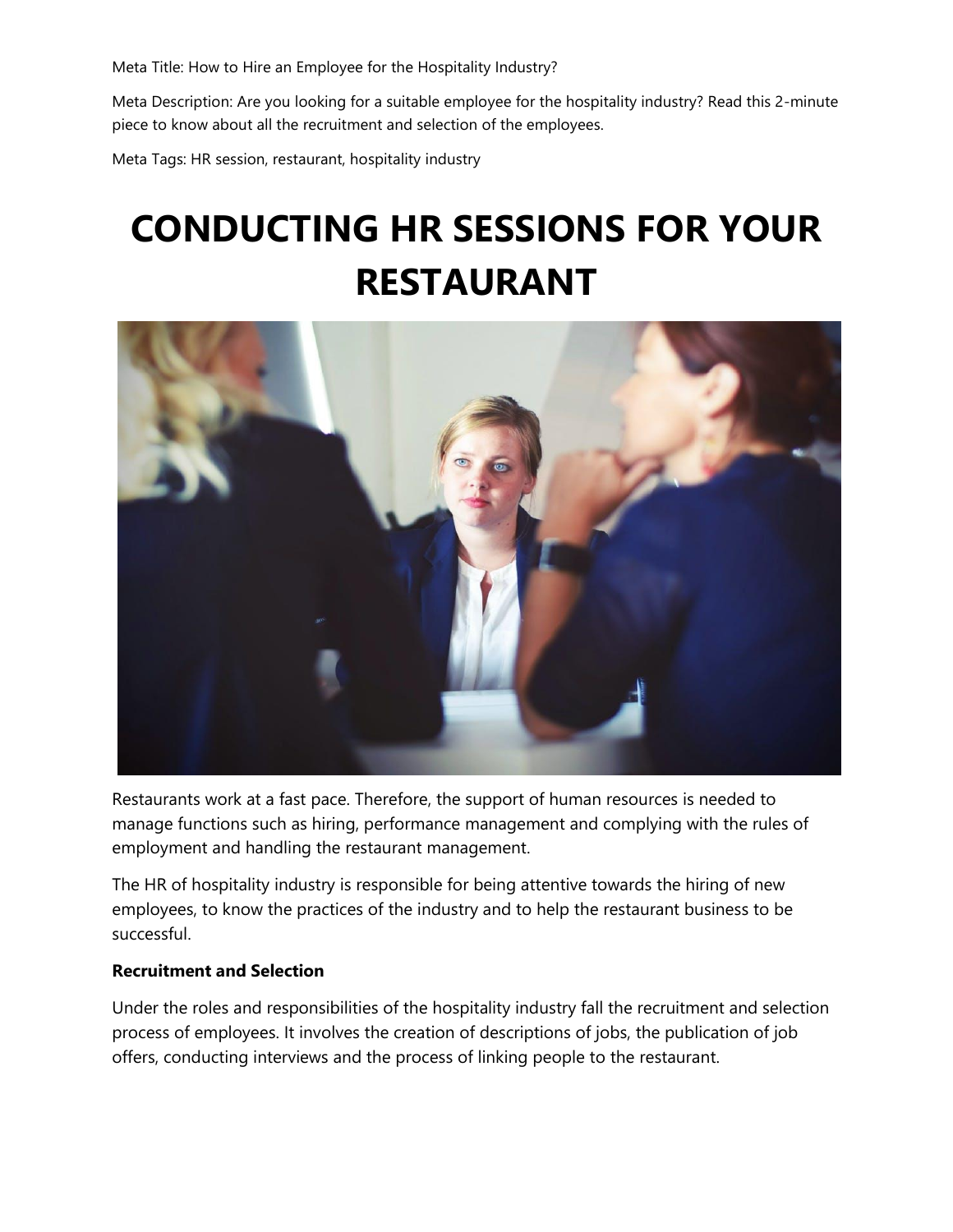Meta Title: How to Hire an Employee for the Hospitality Industry?

Meta Description: Are you looking for a suitable employee for the hospitality industry? Read this 2-minute piece to know about all the recruitment and selection of the employees.

Meta Tags: HR session, restaurant, hospitality industry

## **CONDUCTING HR SESSIONS FOR YOUR RESTAURANT**



Restaurants work at a fast pace. Therefore, the support of human resources is needed to manage functions such as hiring, performance management and complying with the rules of employment and handling the restaurant management.

The HR of hospitality industry is responsible for being attentive towards the hiring of new employees, to know the practices of the industry and to help the restaurant business to be successful.

## **Recruitment and Selection**

Under the roles and responsibilities of the hospitality industry fall the recruitment and selection process of employees. It involves the creation of descriptions of jobs, the publication of job offers, conducting interviews and the process of linking people to the restaurant.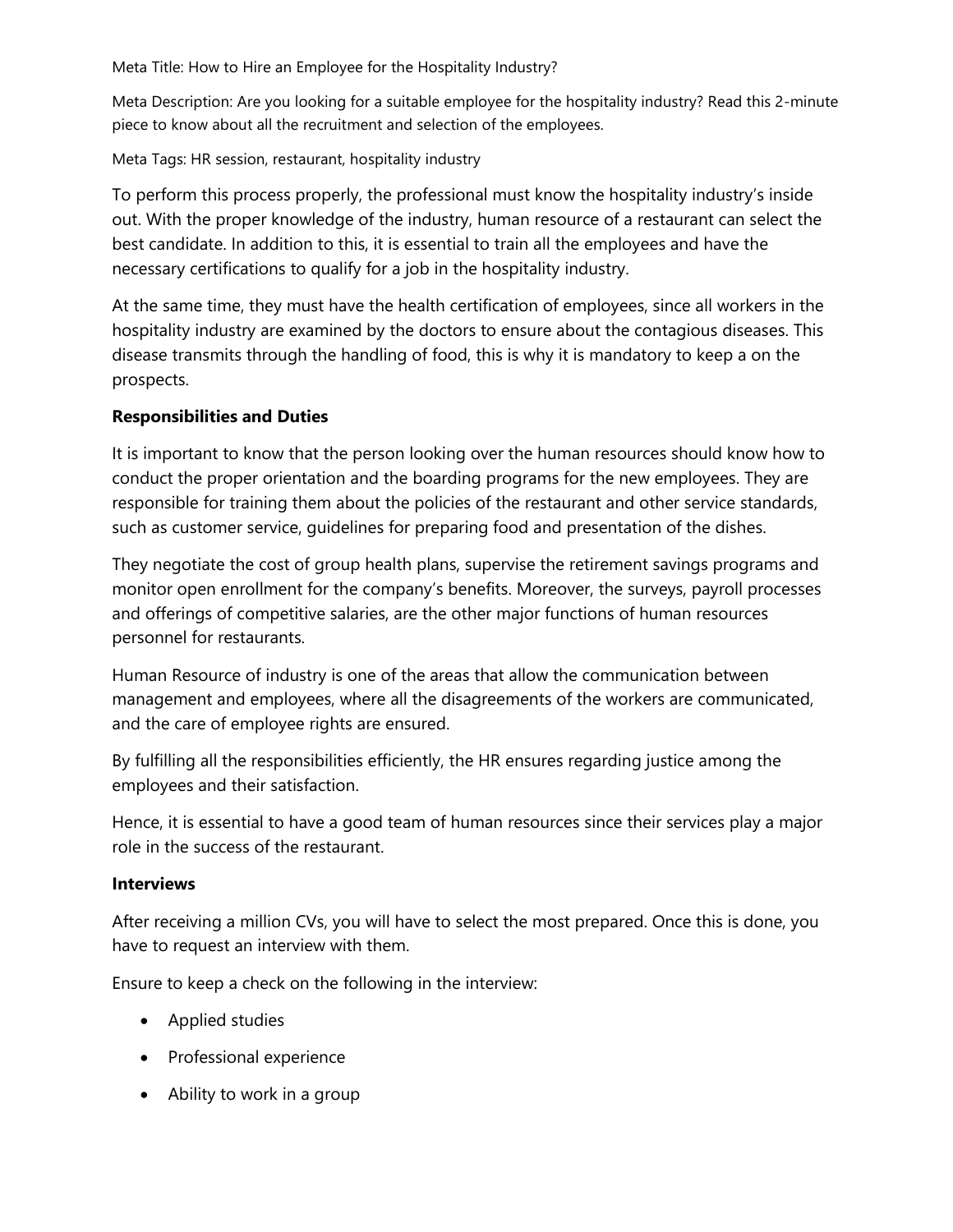Meta Title: How to Hire an Employee for the Hospitality Industry?

Meta Description: Are you looking for a suitable employee for the hospitality industry? Read this 2-minute piece to know about all the recruitment and selection of the employees.

Meta Tags: HR session, restaurant, hospitality industry

To perform this process properly, the professional must know the hospitality industry's inside out. With the proper knowledge of the industry, human resource of a restaurant can select the best candidate. In addition to this, it is essential to train all the employees and have the necessary certifications to qualify for a job in the hospitality industry.

At the same time, they must have the health certification of employees, since all workers in the hospitality industry are examined by the doctors to ensure about the contagious diseases. This disease transmits through the handling of food, this is why it is mandatory to keep a on the prospects.

## **Responsibilities and Duties**

It is important to know that the person looking over the human resources should know how to conduct the proper orientation and the boarding programs for the new employees. They are responsible for training them about the policies of the restaurant and other service standards, such as customer service, guidelines for preparing food and presentation of the dishes.

They negotiate the cost of group health plans, supervise the retirement savings programs and monitor open enrollment for the company's benefits. Moreover, the surveys, payroll processes and offerings of competitive salaries, are the other major functions of human resources personnel for restaurants.

Human Resource of industry is one of the areas that allow the communication between management and employees, where all the disagreements of the workers are communicated, and the care of employee rights are ensured.

By fulfilling all the responsibilities efficiently, the HR ensures regarding justice among the employees and their satisfaction.

Hence, it is essential to have a good team of human resources since their services play a major role in the success of the restaurant.

## **Interviews**

After receiving a million CVs, you will have to select the most prepared. Once this is done, you have to request an interview with them.

Ensure to keep a check on the following in the interview:

- Applied studies
- Professional experience
- Ability to work in a group